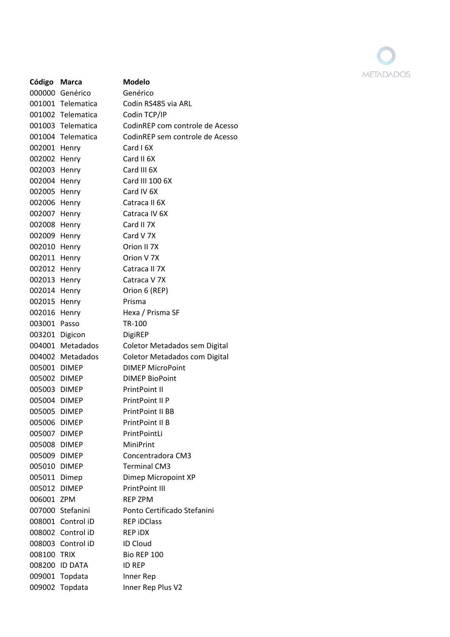

| Código         | Marca             | <b>Modelo</b>                   |
|----------------|-------------------|---------------------------------|
| 000000         | Genérico          | Genérico                        |
|                | 001001 Telematica | Codin RS485 via ARL             |
|                | 001002 Telematica | Codin TCP/IP                    |
|                | 001003 Telematica | CodinREP com controle de Acesso |
|                | 001004 Telematica | CodinREP sem controle de Acesso |
| 002001         | Henry             | Card I 6X                       |
| 002002 Henry   |                   | Card II 6X                      |
| 002003         | Henry             | Card III 6X                     |
| 002004 Henry   |                   | Card III 100 6X                 |
| 002005         | Henry             | Card IV 6X                      |
| 002006         | Henry             | Catraca II 6X                   |
| 002007 Henry   |                   | Catraca IV 6X                   |
| 002008         | Henry             | Card II 7X                      |
| 002009 Henry   |                   | Card V 7X                       |
| 002010         | Henry             | Orion II 7X                     |
| 002011         | Henry             | Orion V 7X                      |
| 002012 Henry   |                   | Catraca II 7X                   |
| 002013         | Henry             | Catraca V 7X                    |
| 002014         | Henry             | Orion 6 (REP)                   |
| 002015         | Henry             | Prisma                          |
| 002016         | Henry             | Hexa / Prisma SF                |
| 003001         | Passo             | TR-100                          |
| 003201 Digicon |                   | DigiREP                         |
|                | 004001 Metadados  | Coletor Metadados sem Digital   |
|                | 004002 Metadados  | Coletor Metadados com Digital   |
| 005001 DIMEP   |                   | <b>DIMEP MicroPoint</b>         |
| 005002         | <b>DIMEP</b>      | <b>DIMEP BioPoint</b>           |
| 005003 DIMEP   |                   | <b>PrintPoint II</b>            |
| 005004 DIMEP   |                   | PrintPoint II P                 |
| 005005 DIMEP   |                   | PrintPoint II RR                |
| 005006 DIMEP   |                   | PrintPoint II B                 |
| 005007 DIMEP   |                   | PrintPointLi                    |
| 005008 DIMEP   |                   | <b>MiniPrint</b>                |
| 005009 DIMEP   |                   | Concentradora CM3               |
| 005010 DIMEP   |                   | <b>Terminal CM3</b>             |
| 005011 Dimep   |                   | Dimep Micropoint XP             |
| 005012 DIMEP   |                   | <b>PrintPoint III</b>           |
| 006001 ZPM     |                   | <b>REP ZPM</b>                  |
|                | 007000 Stefanini  | Ponto Certificado Stefanini     |
|                | 008001 Control iD | <b>REP iDClass</b>              |
|                | 008002 Control iD | <b>REP IDX</b>                  |
|                | 008003 Control iD | <b>ID Cloud</b>                 |
| 008100 TRIX    |                   | Bio REP 100                     |
|                | 008200 ID DATA    | <b>ID REP</b>                   |
|                | 009001 Topdata    | Inner Rep                       |
|                | 009002 Topdata    | Inner Rep Plus V2               |